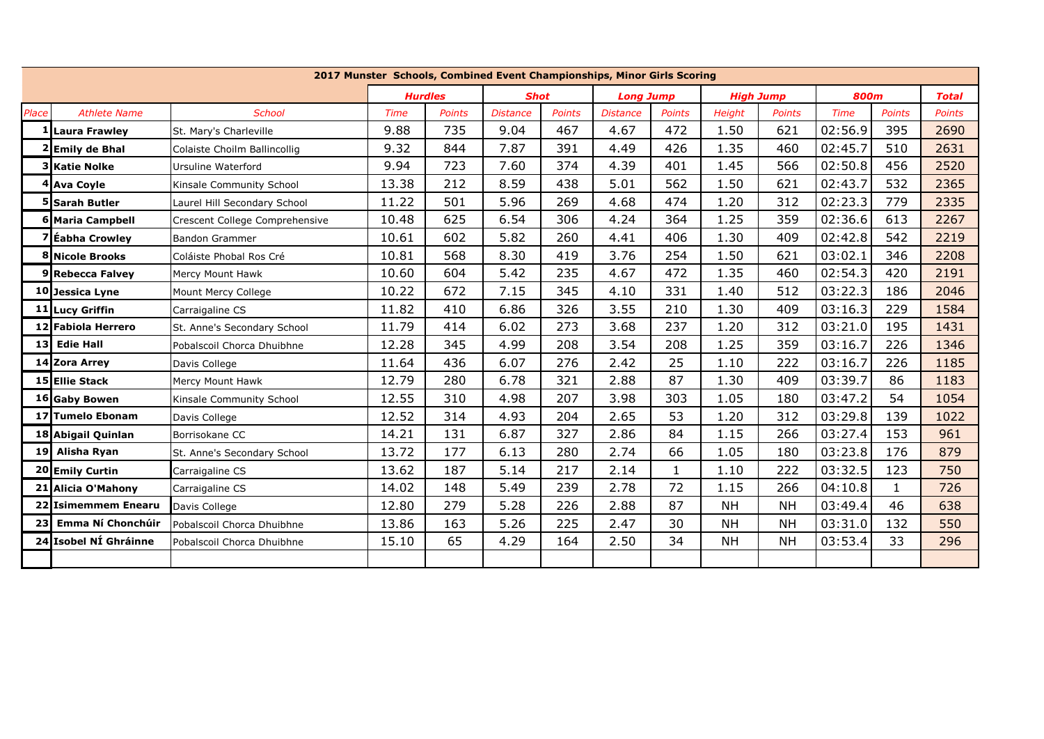|       | 2017 Munster Schools, Combined Event Championships, Minor Girls Scoring |                                |                |               |                 |               |                  |               |                  |               |             |               |               |
|-------|-------------------------------------------------------------------------|--------------------------------|----------------|---------------|-----------------|---------------|------------------|---------------|------------------|---------------|-------------|---------------|---------------|
|       |                                                                         |                                | <b>Hurdles</b> |               | <b>Shot</b>     |               | <b>Long Jump</b> |               | <b>High Jump</b> |               | <b>800m</b> |               | <b>Total</b>  |
| Place | <b>Athlete Name</b>                                                     | <b>School</b>                  | <b>Time</b>    | <b>Points</b> | <b>Distance</b> | <b>Points</b> | <b>Distance</b>  | <b>Points</b> | <b>Height</b>    | <b>Points</b> | <b>Time</b> | <b>Points</b> | <b>Points</b> |
|       | Laura Frawley                                                           | St. Mary's Charleville         | 9.88           | 735           | 9.04            | 467           | 4.67             | 472           | 1.50             | 621           | 02:56.9     | 395           | 2690          |
|       | 2 Emily de Bhal                                                         | Colaiste Choilm Ballincollig   | 9.32           | 844           | 7.87            | 391           | 4.49             | 426           | 1.35             | 460           | 02:45.7     | 510           | 2631          |
|       | 3 Katie Nolke                                                           | Ursuline Waterford             | 9.94           | 723           | 7.60            | 374           | 4.39             | 401           | 1.45             | 566           | 02:50.8     | 456           | 2520          |
|       | 4 Ava Coyle                                                             | Kinsale Community School       | 13.38          | 212           | 8.59            | 438           | 5.01             | 562           | 1.50             | 621           | 02:43.7     | 532           | 2365          |
|       | <b>5 Sarah Butler</b>                                                   | Laurel Hill Secondary School   | 11.22          | 501           | 5.96            | 269           | 4.68             | 474           | 1.20             | 312           | 02:23.3     | 779           | 2335          |
|       | <b>6 Maria Campbell</b>                                                 | Crescent College Comprehensive | 10.48          | 625           | 6.54            | 306           | 4.24             | 364           | 1.25             | 359           | 02:36.6     | 613           | 2267          |
|       | 'Eabha Crowley'                                                         | <b>Bandon Grammer</b>          | 10.61          | 602           | 5.82            | 260           | 4.41             | 406           | 1.30             | 409           | 02:42.8     | 542           | 2219          |
|       | 8 Nicole Brooks                                                         | Coláiste Phobal Ros Cré        | 10.81          | 568           | 8.30            | 419           | 3.76             | 254           | 1.50             | 621           | 03:02.1     | 346           | 2208          |
|       | 9 Rebecca Falvev                                                        | Mercy Mount Hawk               | 10.60          | 604           | 5.42            | 235           | 4.67             | 472           | 1.35             | 460           | 02:54.3     | 420           | 2191          |
|       | 10 Jessica Lyne                                                         | Mount Mercy College            | 10.22          | 672           | 7.15            | 345           | 4.10             | 331           | 1.40             | 512           | 03:22.3     | 186           | 2046          |
|       | 11 Lucy Griffin                                                         | Carraigaline CS                | 11.82          | 410           | 6.86            | 326           | 3.55             | 210           | 1.30             | 409           | 03:16.3     | 229           | 1584          |
|       | 12 Fabiola Herrero                                                      | St. Anne's Secondary School    | 11.79          | 414           | 6.02            | 273           | 3.68             | 237           | 1.20             | 312           | 03:21.0     | 195           | 1431          |
| 13 I  | <b>Edie Hall</b>                                                        | Pobalscoil Chorca Dhuibhne     | 12.28          | 345           | 4.99            | 208           | 3.54             | 208           | 1.25             | 359           | 03:16.7     | 226           | 1346          |
|       | 14 Zora Arrey                                                           | Davis College                  | 11.64          | 436           | 6.07            | 276           | 2.42             | 25            | 1.10             | 222           | 03:16.7     | 226           | 1185          |
|       | 15 Ellie Stack                                                          | Mercy Mount Hawk               | 12.79          | 280           | 6.78            | 321           | 2.88             | 87            | 1.30             | 409           | 03:39.7     | 86            | 1183          |
|       | 16 Gaby Bowen                                                           | Kinsale Community School       | 12.55          | 310           | 4.98            | 207           | 3.98             | 303           | 1.05             | 180           | 03:47.2     | 54            | 1054          |
| 17    | <b>Tumelo Ebonam</b>                                                    | Davis College                  | 12.52          | 314           | 4.93            | 204           | 2.65             | 53            | 1.20             | 312           | 03:29.8     | 139           | 1022          |
|       | 18 Abigail Quinlan                                                      | Borrisokane CC                 | 14.21          | 131           | 6.87            | 327           | 2.86             | 84            | 1.15             | 266           | 03:27.4     | 153           | 961           |
|       | 19 Alisha Ryan                                                          | St. Anne's Secondary School    | 13.72          | 177           | 6.13            | 280           | 2.74             | 66            | 1.05             | 180           | 03:23.8     | 176           | 879           |
|       | 20 Emily Curtin                                                         | Carraigaline CS                | 13.62          | 187           | 5.14            | 217           | 2.14             | 1             | 1.10             | 222           | 03:32.5     | 123           | 750           |
|       | 21 Alicia O'Mahony                                                      | Carraigaline CS                | 14.02          | 148           | 5.49            | 239           | 2.78             | 72            | 1.15             | 266           | 04:10.8     | $\mathbf{1}$  | 726           |
|       | 22 Isimemmem Enearu                                                     | Davis College                  | 12.80          | 279           | 5.28            | 226           | 2.88             | 87            | <b>NH</b>        | <b>NH</b>     | 03:49.4     | 46            | 638           |
| 23    | Emma Ní Chonchúir                                                       | Pobalscoil Chorca Dhuibhne     | 13.86          | 163           | 5.26            | 225           | 2.47             | 30            | <b>NH</b>        | <b>NH</b>     | 03:31.0     | 132           | 550           |
|       | 24 Isobel NÍ Ghráinne                                                   | Pobalscoil Chorca Dhuibhne     | 15.10          | 65            | 4.29            | 164           | 2.50             | 34            | <b>NH</b>        | <b>NH</b>     | 03:53.4     | 33            | 296           |
|       |                                                                         |                                |                |               |                 |               |                  |               |                  |               |             |               |               |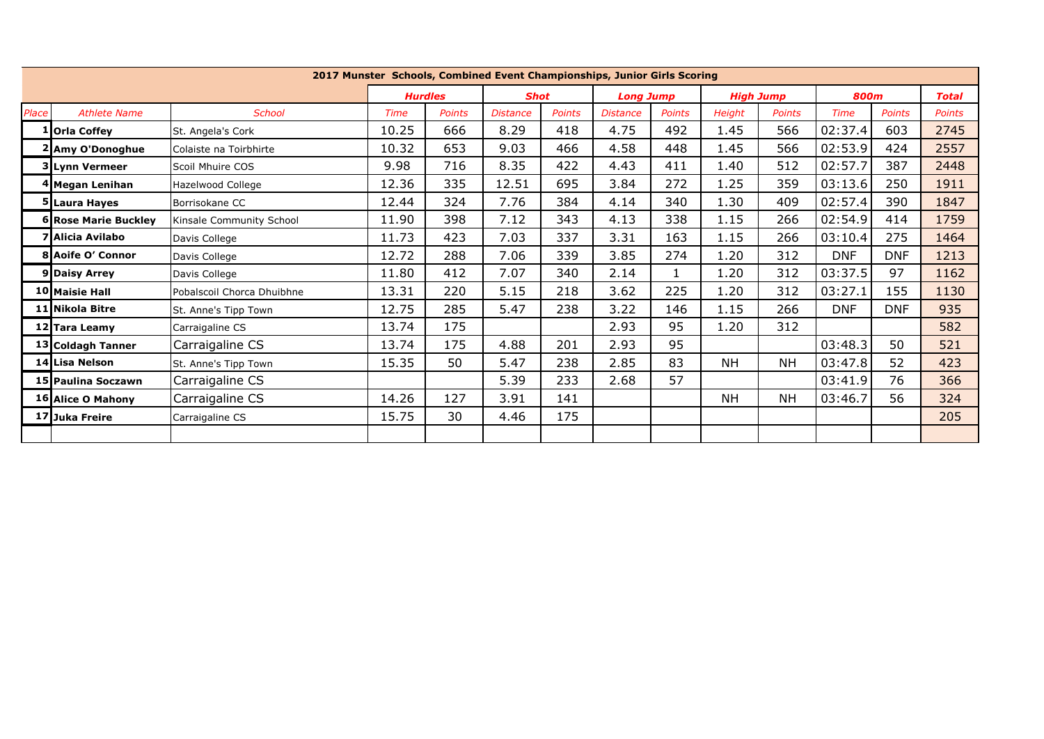|       | 2017 Munster Schools, Combined Event Championships, Junior Girls Scoring |                            |                |               |                 |               |                  |               |                  |               |             |               |               |
|-------|--------------------------------------------------------------------------|----------------------------|----------------|---------------|-----------------|---------------|------------------|---------------|------------------|---------------|-------------|---------------|---------------|
|       |                                                                          |                            | <b>Hurdles</b> |               | <b>Shot</b>     |               | <b>Long Jump</b> |               | <b>High Jump</b> |               | <b>800m</b> |               | <b>Total</b>  |
| Place | <b>Athlete Name</b>                                                      | <b>School</b>              | Time           | <b>Points</b> | <b>Distance</b> | <b>Points</b> | <b>Distance</b>  | <b>Points</b> | <b>Height</b>    | <b>Points</b> | Time        | <b>Points</b> | <b>Points</b> |
|       | 1   Orla Coffey                                                          | St. Angela's Cork          | 10.25          | 666           | 8.29            | 418           | 4.75             | 492           | 1.45             | 566           | 02:37.4     | 603           | 2745          |
|       | 2 Amy O'Donoghue                                                         | Colaiste na Toirbhirte     | 10.32          | 653           | 9.03            | 466           | 4.58             | 448           | 1.45             | 566           | 02:53.9     | 424           | 2557          |
|       | 3 Lynn Vermeer                                                           | Scoil Mhuire COS           | 9.98           | 716           | 8.35            | 422           | 4.43             | 411           | 1.40             | 512           | 02:57.7     | 387           | 2448          |
|       | 4 Megan Lenihan                                                          | Hazelwood College          | 12.36          | 335           | 12.51           | 695           | 3.84             | 272           | 1.25             | 359           | 03:13.6     | 250           | 1911          |
|       | 5 Laura Hayes                                                            | Borrisokane CC             | 12.44          | 324           | 7.76            | 384           | 4.14             | 340           | 1.30             | 409           | 02:57.4     | 390           | 1847          |
|       | <b>6 Rose Marie Buckley</b>                                              | Kinsale Community School   | 11.90          | 398           | 7.12            | 343           | 4.13             | 338           | 1.15             | 266           | 02:54.9     | 414           | 1759          |
|       | <b>7 Alicia Avilabo</b>                                                  | Davis College              | 11.73          | 423           | 7.03            | 337           | 3.31             | 163           | 1.15             | 266           | 03:10.4     | 275           | 1464          |
|       | <b>8 Aoife O' Connor</b>                                                 | Davis College              | 12.72          | 288           | 7.06            | 339           | 3.85             | 274           | 1.20             | 312           | <b>DNF</b>  | <b>DNF</b>    | 1213          |
|       | 9 Daisy Arrey                                                            | Davis College              | 11.80          | 412           | 7.07            | 340           | 2.14             |               | 1.20             | 312           | 03:37.5     | 97            | 1162          |
|       | <b>10 Maisie Hall</b>                                                    | Pobalscoil Chorca Dhuibhne | 13.31          | 220           | 5.15            | 218           | 3.62             | 225           | 1.20             | 312           | 03:27.1     | 155           | 1130          |
|       | 11 Nikola Bitre                                                          | St. Anne's Tipp Town       | 12.75          | 285           | 5.47            | 238           | 3.22             | 146           | 1.15             | 266           | <b>DNF</b>  | <b>DNF</b>    | 935           |
|       | 12 Tara Leamy                                                            | Carraigaline CS            | 13.74          | 175           |                 |               | 2.93             | 95            | 1.20             | 312           |             |               | 582           |
|       | 13 Coldagh Tanner                                                        | Carraigaline CS            | 13.74          | 175           | 4.88            | 201           | 2.93             | 95            |                  |               | 03:48.3     | 50            | 521           |
|       | 14 Lisa Nelson                                                           | St. Anne's Tipp Town       | 15.35          | 50            | 5.47            | 238           | 2.85             | 83            | <b>NH</b>        | NΗ            | 03:47.8     | 52            | 423           |
|       | 15 Paulina Soczawn                                                       | Carraigaline CS            |                |               | 5.39            | 233           | 2.68             | 57            |                  |               | 03:41.9     | 76            | 366           |
|       | 16 Alice O Mahony                                                        | Carraigaline CS            | 14.26          | 127           | 3.91            | 141           |                  |               | <b>NH</b>        | NΗ            | 03:46.7     | 56            | 324           |
|       | 17 Juka Freire                                                           | Carraigaline CS            | 15.75          | 30            | 4.46            | 175           |                  |               |                  |               |             |               | 205           |
|       |                                                                          |                            |                |               |                 |               |                  |               |                  |               |             |               |               |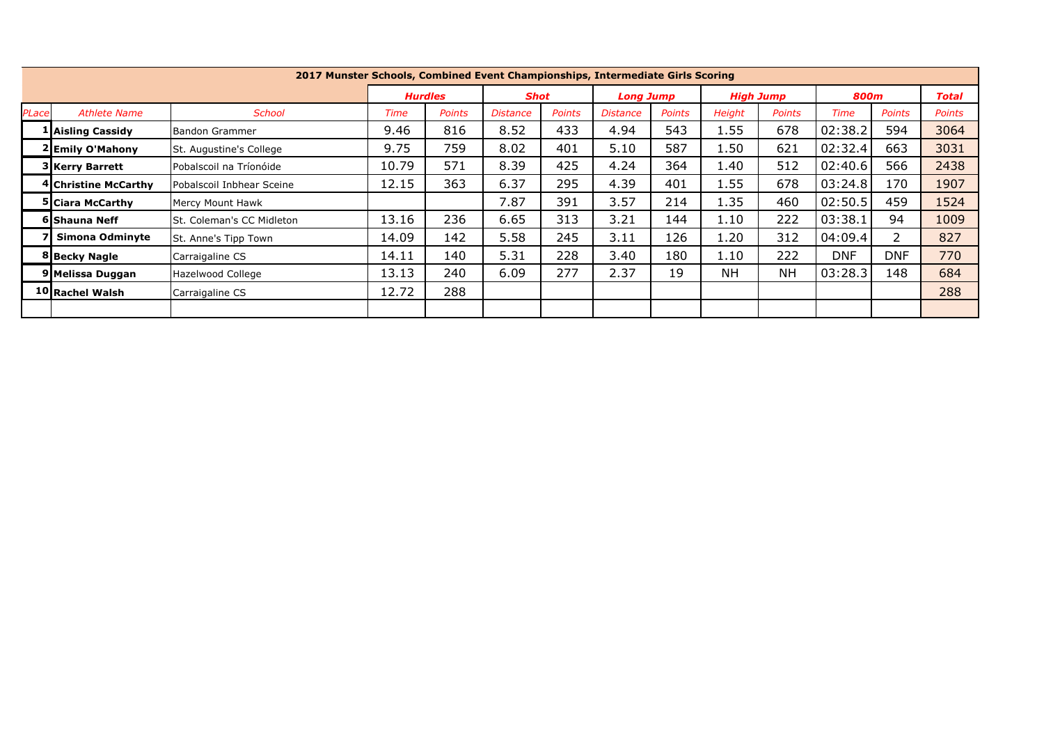|       | 2017 Munster Schools, Combined Event Championships, Intermediate Girls Scoring |                           |                |               |                 |               |                  |        |                  |               |            |               |               |
|-------|--------------------------------------------------------------------------------|---------------------------|----------------|---------------|-----------------|---------------|------------------|--------|------------------|---------------|------------|---------------|---------------|
|       |                                                                                |                           | <b>Hurdles</b> |               | <b>Shot</b>     |               | <b>Long Jump</b> |        | <b>High Jump</b> |               | 800m       |               | Total         |
| PLace | <b>Athlete Name</b>                                                            | <b>School</b>             | Time           | <b>Points</b> | <b>Distance</b> | <b>Points</b> | <i>Distance</i>  | Points | <b>Height</b>    | <b>Points</b> | Time       | <b>Points</b> | <b>Points</b> |
|       | 1 Aisling Cassidy                                                              | Bandon Grammer            | 9.46           | 816           | 8.52            | 433           | 4.94             | 543    | 1.55             | 678           | 02:38.2    | 594           | 3064          |
|       | 2 Emily O'Mahony                                                               | St. Augustine's College   | 9.75           | 759           | 8.02            | 401           | 5.10             | 587    | 1.50             | 621           | 02:32.4    | 663           | 3031          |
|       | 3 Kerry Barrett                                                                | Pobalscoil na Tríonóide   | 10.79          | 571           | 8.39            | 425           | 4.24             | 364    | 1.40             | 512           | 02:40.6    | 566           | 2438          |
|       | 4 Christine McCarthy                                                           | Pobalscoil Inbhear Sceine | 12.15          | 363           | 6.37            | 295           | 4.39             | 401    | 1.55             | 678           | 03:24.8    | 170           | 1907          |
|       | <b>5 Ciara McCarthy</b>                                                        | Mercy Mount Hawk          |                |               | 7.87            | 391           | 3.57             | 214    | 1.35             | 460           | 02:50.5    | 459           | 1524          |
|       | 6 Shauna Neff                                                                  | St. Coleman's CC Midleton | 13.16          | 236           | 6.65            | 313           | 3.21             | 144    | 1.10             | 222           | 03:38.1    | 94            | 1009          |
|       | Simona Odminyte                                                                | St. Anne's Tipp Town      | 14.09          | 142           | 5.58            | 245           | 3.11             | 126    | 1.20             | 312           | 04:09.4    | 2             | 827           |
|       | 8 Becky Nagle                                                                  | Carraigaline CS           | 14.11          | 140           | 5.31            | 228           | 3.40             | 180    | 1.10             | 222           | <b>DNF</b> | <b>DNF</b>    | 770           |
|       | 9 Melissa Duggan                                                               | Hazelwood College         | 13.13          | 240           | 6.09            | 277           | 2.37             | 19     | NΗ               | <b>NH</b>     | 03:28.3    | 148           | 684           |
|       | 10 Rachel Walsh                                                                | Carraigaline CS           | 12.72          | 288           |                 |               |                  |        |                  |               |            |               | 288           |
|       |                                                                                |                           |                |               |                 |               |                  |        |                  |               |            |               |               |